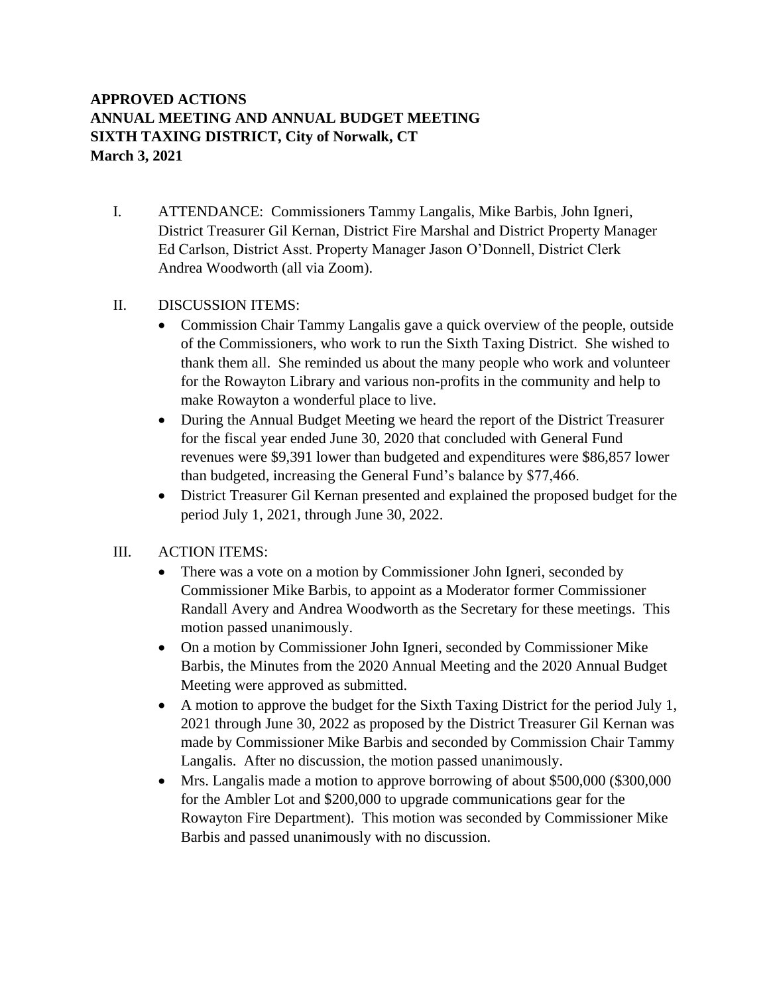## **APPROVED ACTIONS ANNUAL MEETING AND ANNUAL BUDGET MEETING SIXTH TAXING DISTRICT, City of Norwalk, CT March 3, 2021**

I. ATTENDANCE: Commissioners Tammy Langalis, Mike Barbis, John Igneri, District Treasurer Gil Kernan, District Fire Marshal and District Property Manager Ed Carlson, District Asst. Property Manager Jason O'Donnell, District Clerk Andrea Woodworth (all via Zoom).

## II. DISCUSSION ITEMS:

- Commission Chair Tammy Langalis gave a quick overview of the people, outside of the Commissioners, who work to run the Sixth Taxing District. She wished to thank them all. She reminded us about the many people who work and volunteer for the Rowayton Library and various non-profits in the community and help to make Rowayton a wonderful place to live.
- During the Annual Budget Meeting we heard the report of the District Treasurer for the fiscal year ended June 30, 2020 that concluded with General Fund revenues were \$9,391 lower than budgeted and expenditures were \$86,857 lower than budgeted, increasing the General Fund's balance by \$77,466.
- District Treasurer Gil Kernan presented and explained the proposed budget for the period July 1, 2021, through June 30, 2022.

## III. ACTION ITEMS:

- There was a vote on a motion by Commissioner John Igneri, seconded by Commissioner Mike Barbis, to appoint as a Moderator former Commissioner Randall Avery and Andrea Woodworth as the Secretary for these meetings. This motion passed unanimously.
- On a motion by Commissioner John Igneri, seconded by Commissioner Mike Barbis, the Minutes from the 2020 Annual Meeting and the 2020 Annual Budget Meeting were approved as submitted.
- A motion to approve the budget for the Sixth Taxing District for the period July 1, 2021 through June 30, 2022 as proposed by the District Treasurer Gil Kernan was made by Commissioner Mike Barbis and seconded by Commission Chair Tammy Langalis. After no discussion, the motion passed unanimously.
- Mrs. Langalis made a motion to approve borrowing of about \$500,000 (\$300,000) for the Ambler Lot and \$200,000 to upgrade communications gear for the Rowayton Fire Department). This motion was seconded by Commissioner Mike Barbis and passed unanimously with no discussion.